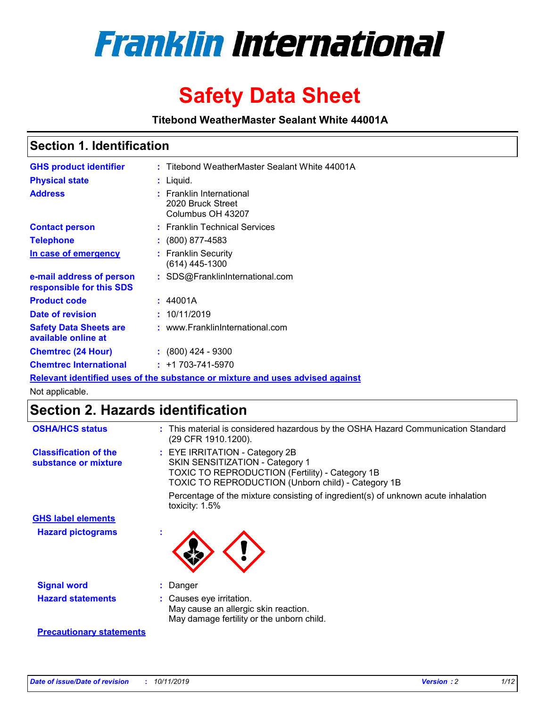

# **Safety Data Sheet**

**Titebond WeatherMaster Sealant White 44001A**

### **Section 1. Identification**

| <b>GHS product identifier</b>                        | : Titebond WeatherMaster Sealant White 44001A                                 |
|------------------------------------------------------|-------------------------------------------------------------------------------|
| <b>Physical state</b>                                | : Liquid.                                                                     |
| <b>Address</b>                                       | : Franklin International<br>2020 Bruck Street<br>Columbus OH 43207            |
| <b>Contact person</b>                                | : Franklin Technical Services                                                 |
| <b>Telephone</b>                                     | $\colon$ (800) 877-4583                                                       |
| In case of emergency                                 | : Franklin Security<br>(614) 445-1300                                         |
| e-mail address of person<br>responsible for this SDS | : SDS@FranklinInternational.com                                               |
| <b>Product code</b>                                  | : 44001A                                                                      |
| Date of revision                                     | : 10/11/2019                                                                  |
| <b>Safety Data Sheets are</b><br>available online at | : www.FranklinInternational.com                                               |
| <b>Chemtrec (24 Hour)</b>                            | : (800) 424 - 9300                                                            |
| <b>Chemtrec International</b>                        | $: +1703 - 741 - 5970$                                                        |
|                                                      | Relevant identified uses of the substance or mixture and uses advised against |

Not applicable.

## **Section 2. Hazards identification**

| <b>OSHA/HCS status</b>                               | : This material is considered hazardous by the OSHA Hazard Communication Standard<br>(29 CFR 1910.1200).                                                                                 |
|------------------------------------------------------|------------------------------------------------------------------------------------------------------------------------------------------------------------------------------------------|
| <b>Classification of the</b><br>substance or mixture | : EYE IRRITATION - Category 2B<br>SKIN SENSITIZATION - Category 1<br><b>TOXIC TO REPRODUCTION (Fertility) - Category 1B</b><br><b>TOXIC TO REPRODUCTION (Unborn child) - Category 1B</b> |
|                                                      | Percentage of the mixture consisting of ingredient(s) of unknown acute inhalation<br>toxicity: $1.5\%$                                                                                   |
| <b>GHS label elements</b>                            |                                                                                                                                                                                          |
| <b>Hazard pictograms</b>                             |                                                                                                                                                                                          |
| <b>Signal word</b>                                   | : Danger                                                                                                                                                                                 |
| <b>Hazard statements</b>                             | : Causes eye irritation.<br>May cause an allergic skin reaction.<br>May damage fertility or the unborn child.                                                                            |
| <b>Precautionary statements</b>                      |                                                                                                                                                                                          |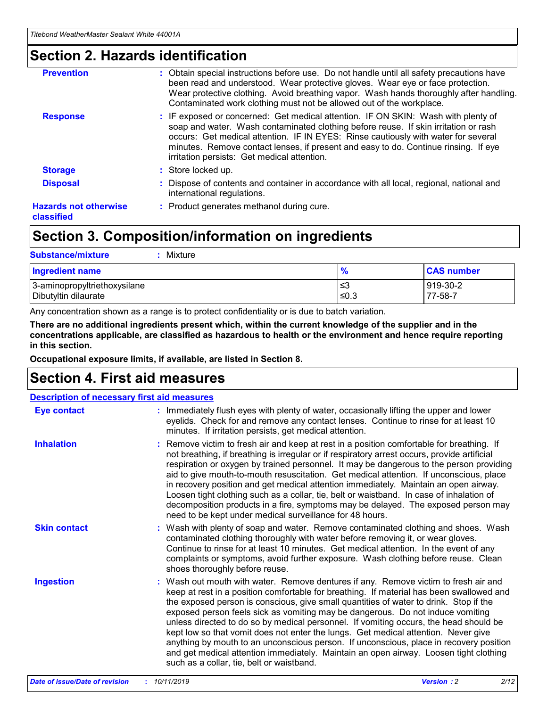### **Section 2. Hazards identification**

| <b>Prevention</b>                          | : Obtain special instructions before use. Do not handle until all safety precautions have<br>been read and understood. Wear protective gloves. Wear eye or face protection.<br>Wear protective clothing. Avoid breathing vapor. Wash hands thoroughly after handling.<br>Contaminated work clothing must not be allowed out of the workplace.                                                        |
|--------------------------------------------|------------------------------------------------------------------------------------------------------------------------------------------------------------------------------------------------------------------------------------------------------------------------------------------------------------------------------------------------------------------------------------------------------|
| <b>Response</b>                            | : IF exposed or concerned: Get medical attention. IF ON SKIN: Wash with plenty of<br>soap and water. Wash contaminated clothing before reuse. If skin irritation or rash<br>occurs: Get medical attention. IF IN EYES: Rinse cautiously with water for several<br>minutes. Remove contact lenses, if present and easy to do. Continue rinsing. If eye<br>irritation persists: Get medical attention. |
| <b>Storage</b>                             | : Store locked up.                                                                                                                                                                                                                                                                                                                                                                                   |
| <b>Disposal</b>                            | : Dispose of contents and container in accordance with all local, regional, national and<br>international regulations.                                                                                                                                                                                                                                                                               |
| <b>Hazards not otherwise</b><br>classified | : Product generates methanol during cure.                                                                                                                                                                                                                                                                                                                                                            |
|                                            |                                                                                                                                                                                                                                                                                                                                                                                                      |

### **Section 3. Composition/information on ingredients**

| <b>Substance/mixture</b><br>: Mixture                |               |                     |
|------------------------------------------------------|---------------|---------------------|
| Ingredient name                                      | $\frac{9}{6}$ | <b>CAS number</b>   |
| 3-aminopropyltriethoxysilane<br>Dibutyltin dilaurate | צ≥<br>≤0.3    | 919-30-2<br>77-58-7 |

Any concentration shown as a range is to protect confidentiality or is due to batch variation.

**There are no additional ingredients present which, within the current knowledge of the supplier and in the concentrations applicable, are classified as hazardous to health or the environment and hence require reporting in this section.**

**Occupational exposure limits, if available, are listed in Section 8.**

### **Section 4. First aid measures**

| <b>Description of necessary first aid measures</b> |                                                                                                                                                                                                                                                                                                                                                                                                                                                                                                                                                                                                                                                                                                                                                                           |  |  |  |
|----------------------------------------------------|---------------------------------------------------------------------------------------------------------------------------------------------------------------------------------------------------------------------------------------------------------------------------------------------------------------------------------------------------------------------------------------------------------------------------------------------------------------------------------------------------------------------------------------------------------------------------------------------------------------------------------------------------------------------------------------------------------------------------------------------------------------------------|--|--|--|
| <b>Eye contact</b>                                 | : Immediately flush eyes with plenty of water, occasionally lifting the upper and lower<br>eyelids. Check for and remove any contact lenses. Continue to rinse for at least 10<br>minutes. If irritation persists, get medical attention.                                                                                                                                                                                                                                                                                                                                                                                                                                                                                                                                 |  |  |  |
| <b>Inhalation</b>                                  | : Remove victim to fresh air and keep at rest in a position comfortable for breathing. If<br>not breathing, if breathing is irregular or if respiratory arrest occurs, provide artificial<br>respiration or oxygen by trained personnel. It may be dangerous to the person providing<br>aid to give mouth-to-mouth resuscitation. Get medical attention. If unconscious, place<br>in recovery position and get medical attention immediately. Maintain an open airway.<br>Loosen tight clothing such as a collar, tie, belt or waistband. In case of inhalation of<br>decomposition products in a fire, symptoms may be delayed. The exposed person may<br>need to be kept under medical surveillance for 48 hours.                                                       |  |  |  |
| <b>Skin contact</b>                                | : Wash with plenty of soap and water. Remove contaminated clothing and shoes. Wash<br>contaminated clothing thoroughly with water before removing it, or wear gloves.<br>Continue to rinse for at least 10 minutes. Get medical attention. In the event of any<br>complaints or symptoms, avoid further exposure. Wash clothing before reuse. Clean<br>shoes thoroughly before reuse.                                                                                                                                                                                                                                                                                                                                                                                     |  |  |  |
| <b>Ingestion</b>                                   | : Wash out mouth with water. Remove dentures if any. Remove victim to fresh air and<br>keep at rest in a position comfortable for breathing. If material has been swallowed and<br>the exposed person is conscious, give small quantities of water to drink. Stop if the<br>exposed person feels sick as vomiting may be dangerous. Do not induce vomiting<br>unless directed to do so by medical personnel. If vomiting occurs, the head should be<br>kept low so that vomit does not enter the lungs. Get medical attention. Never give<br>anything by mouth to an unconscious person. If unconscious, place in recovery position<br>and get medical attention immediately. Maintain an open airway. Loosen tight clothing<br>such as a collar, tie, belt or waistband. |  |  |  |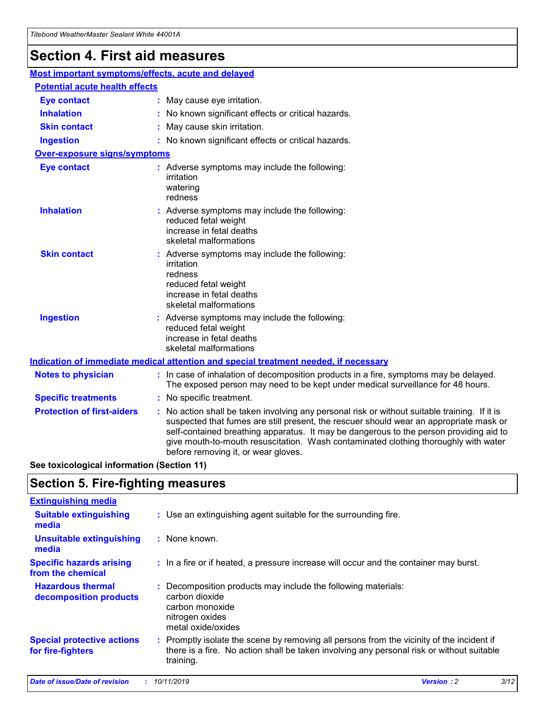## **Section 4. First aid measures**

| Most important symptoms/effects, acute and delayed |                                       |                                                                                                                                                                                                                                                                                                                                                                                                                 |  |  |  |
|----------------------------------------------------|---------------------------------------|-----------------------------------------------------------------------------------------------------------------------------------------------------------------------------------------------------------------------------------------------------------------------------------------------------------------------------------------------------------------------------------------------------------------|--|--|--|
|                                                    | <b>Potential acute health effects</b> |                                                                                                                                                                                                                                                                                                                                                                                                                 |  |  |  |
| <b>Eye contact</b>                                 |                                       | : May cause eye irritation.                                                                                                                                                                                                                                                                                                                                                                                     |  |  |  |
| <b>Inhalation</b>                                  |                                       | : No known significant effects or critical hazards.                                                                                                                                                                                                                                                                                                                                                             |  |  |  |
| <b>Skin contact</b>                                |                                       | : May cause skin irritation.                                                                                                                                                                                                                                                                                                                                                                                    |  |  |  |
| <b>Ingestion</b>                                   |                                       | : No known significant effects or critical hazards.                                                                                                                                                                                                                                                                                                                                                             |  |  |  |
| Over-exposure signs/symptoms                       |                                       |                                                                                                                                                                                                                                                                                                                                                                                                                 |  |  |  |
| <b>Eye contact</b>                                 |                                       | : Adverse symptoms may include the following:<br>irritation<br>watering<br>redness                                                                                                                                                                                                                                                                                                                              |  |  |  |
| <b>Inhalation</b>                                  |                                       | : Adverse symptoms may include the following:<br>reduced fetal weight<br>increase in fetal deaths<br>skeletal malformations                                                                                                                                                                                                                                                                                     |  |  |  |
| <b>Skin contact</b>                                |                                       | : Adverse symptoms may include the following:<br>irritation<br>redness<br>reduced fetal weight<br>increase in fetal deaths<br>skeletal malformations                                                                                                                                                                                                                                                            |  |  |  |
| <b>Ingestion</b>                                   |                                       | : Adverse symptoms may include the following:<br>reduced fetal weight<br>increase in fetal deaths<br>skeletal malformations                                                                                                                                                                                                                                                                                     |  |  |  |
|                                                    |                                       | <b>Indication of immediate medical attention and special treatment needed, if necessary</b>                                                                                                                                                                                                                                                                                                                     |  |  |  |
| <b>Notes to physician</b>                          |                                       | : In case of inhalation of decomposition products in a fire, symptoms may be delayed.<br>The exposed person may need to be kept under medical surveillance for 48 hours.                                                                                                                                                                                                                                        |  |  |  |
| <b>Specific treatments</b>                         |                                       | : No specific treatment.                                                                                                                                                                                                                                                                                                                                                                                        |  |  |  |
| <b>Protection of first-aiders</b>                  |                                       | : No action shall be taken involving any personal risk or without suitable training. If it is<br>suspected that fumes are still present, the rescuer should wear an appropriate mask or<br>self-contained breathing apparatus. It may be dangerous to the person providing aid to<br>give mouth-to-mouth resuscitation. Wash contaminated clothing thoroughly with water<br>before removing it, or wear gloves. |  |  |  |

**See toxicological information (Section 11)**

### **Section 5. Fire-fighting measures**

| <b>Extinguishing media</b>                             |                                                                                                                                                                                                     |
|--------------------------------------------------------|-----------------------------------------------------------------------------------------------------------------------------------------------------------------------------------------------------|
| <b>Suitable extinguishing</b><br>media                 | : Use an extinguishing agent suitable for the surrounding fire.                                                                                                                                     |
| <b>Unsuitable extinguishing</b><br>media               | : None known.                                                                                                                                                                                       |
| <b>Specific hazards arising</b><br>from the chemical   | : In a fire or if heated, a pressure increase will occur and the container may burst.                                                                                                               |
| <b>Hazardous thermal</b><br>decomposition products     | : Decomposition products may include the following materials:<br>carbon dioxide<br>carbon monoxide<br>nitrogen oxides<br>metal oxide/oxides                                                         |
| <b>Special protective actions</b><br>for fire-fighters | : Promptly isolate the scene by removing all persons from the vicinity of the incident if<br>there is a fire. No action shall be taken involving any personal risk or without suitable<br>training. |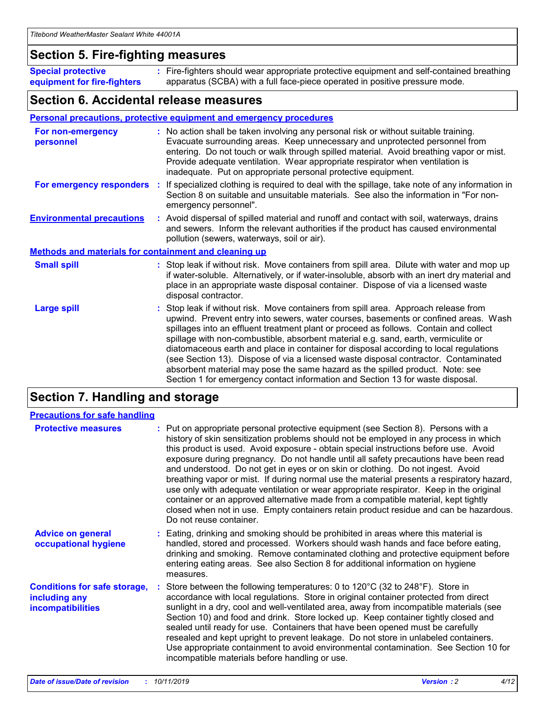### **Section 5. Fire-fighting measures**

**Special protective equipment for fire-fighters** Fire-fighters should wear appropriate protective equipment and self-contained breathing **:** apparatus (SCBA) with a full face-piece operated in positive pressure mode.

### **Section 6. Accidental release measures**

#### **Personal precautions, protective equipment and emergency procedures**

| For non-emergency<br>personnel                               | : No action shall be taken involving any personal risk or without suitable training.<br>Evacuate surrounding areas. Keep unnecessary and unprotected personnel from<br>entering. Do not touch or walk through spilled material. Avoid breathing vapor or mist.<br>Provide adequate ventilation. Wear appropriate respirator when ventilation is<br>inadequate. Put on appropriate personal protective equipment.                                                                                                                                                                                                                                                                                             |
|--------------------------------------------------------------|--------------------------------------------------------------------------------------------------------------------------------------------------------------------------------------------------------------------------------------------------------------------------------------------------------------------------------------------------------------------------------------------------------------------------------------------------------------------------------------------------------------------------------------------------------------------------------------------------------------------------------------------------------------------------------------------------------------|
| For emergency responders                                     | : If specialized clothing is required to deal with the spillage, take note of any information in<br>Section 8 on suitable and unsuitable materials. See also the information in "For non-<br>emergency personnel".                                                                                                                                                                                                                                                                                                                                                                                                                                                                                           |
| <b>Environmental precautions</b>                             | : Avoid dispersal of spilled material and runoff and contact with soil, waterways, drains<br>and sewers. Inform the relevant authorities if the product has caused environmental<br>pollution (sewers, waterways, soil or air).                                                                                                                                                                                                                                                                                                                                                                                                                                                                              |
| <b>Methods and materials for containment and cleaning up</b> |                                                                                                                                                                                                                                                                                                                                                                                                                                                                                                                                                                                                                                                                                                              |
| <b>Small spill</b>                                           | : Stop leak if without risk. Move containers from spill area. Dilute with water and mop up<br>if water-soluble. Alternatively, or if water-insoluble, absorb with an inert dry material and<br>place in an appropriate waste disposal container. Dispose of via a licensed waste<br>disposal contractor.                                                                                                                                                                                                                                                                                                                                                                                                     |
| <b>Large spill</b>                                           | : Stop leak if without risk. Move containers from spill area. Approach release from<br>upwind. Prevent entry into sewers, water courses, basements or confined areas. Wash<br>spillages into an effluent treatment plant or proceed as follows. Contain and collect<br>spillage with non-combustible, absorbent material e.g. sand, earth, vermiculite or<br>diatomaceous earth and place in container for disposal according to local regulations<br>(see Section 13). Dispose of via a licensed waste disposal contractor. Contaminated<br>absorbent material may pose the same hazard as the spilled product. Note: see<br>Section 1 for emergency contact information and Section 13 for waste disposal. |

### **Section 7. Handling and storage**

| <b>Precautions for safe handling</b>                                             |                                                                                                                                                                                                                                                                                                                                                                                                                                                                                                                                                                                                                                                                                                                                                                                                                                                  |
|----------------------------------------------------------------------------------|--------------------------------------------------------------------------------------------------------------------------------------------------------------------------------------------------------------------------------------------------------------------------------------------------------------------------------------------------------------------------------------------------------------------------------------------------------------------------------------------------------------------------------------------------------------------------------------------------------------------------------------------------------------------------------------------------------------------------------------------------------------------------------------------------------------------------------------------------|
| <b>Protective measures</b>                                                       | : Put on appropriate personal protective equipment (see Section 8). Persons with a<br>history of skin sensitization problems should not be employed in any process in which<br>this product is used. Avoid exposure - obtain special instructions before use. Avoid<br>exposure during pregnancy. Do not handle until all safety precautions have been read<br>and understood. Do not get in eyes or on skin or clothing. Do not ingest. Avoid<br>breathing vapor or mist. If during normal use the material presents a respiratory hazard,<br>use only with adequate ventilation or wear appropriate respirator. Keep in the original<br>container or an approved alternative made from a compatible material, kept tightly<br>closed when not in use. Empty containers retain product residue and can be hazardous.<br>Do not reuse container. |
| <b>Advice on general</b><br>occupational hygiene                                 | : Eating, drinking and smoking should be prohibited in areas where this material is<br>handled, stored and processed. Workers should wash hands and face before eating,<br>drinking and smoking. Remove contaminated clothing and protective equipment before<br>entering eating areas. See also Section 8 for additional information on hygiene<br>measures.                                                                                                                                                                                                                                                                                                                                                                                                                                                                                    |
| <b>Conditions for safe storage,</b><br>including any<br><b>incompatibilities</b> | Store between the following temperatures: 0 to 120 $\degree$ C (32 to 248 $\degree$ F). Store in<br>accordance with local regulations. Store in original container protected from direct<br>sunlight in a dry, cool and well-ventilated area, away from incompatible materials (see<br>Section 10) and food and drink. Store locked up. Keep container tightly closed and<br>sealed until ready for use. Containers that have been opened must be carefully<br>resealed and kept upright to prevent leakage. Do not store in unlabeled containers.<br>Use appropriate containment to avoid environmental contamination. See Section 10 for<br>incompatible materials before handling or use.                                                                                                                                                     |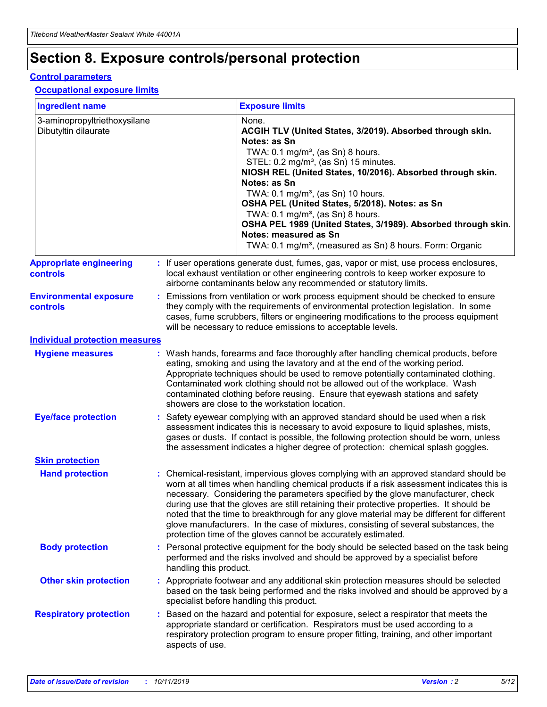## **Section 8. Exposure controls/personal protection**

#### **Control parameters**

#### **Occupational exposure limits**

| <b>Ingredient name</b>                               |    |                                          | <b>Exposure limits</b>                                                                                                                                                                                                                                                                                                                                                                                                                                                                                                                                                                                                 |
|------------------------------------------------------|----|------------------------------------------|------------------------------------------------------------------------------------------------------------------------------------------------------------------------------------------------------------------------------------------------------------------------------------------------------------------------------------------------------------------------------------------------------------------------------------------------------------------------------------------------------------------------------------------------------------------------------------------------------------------------|
| 3-aminopropyltriethoxysilane<br>Dibutyltin dilaurate |    |                                          | None.<br>ACGIH TLV (United States, 3/2019). Absorbed through skin.<br>Notes: as Sn<br>TWA: 0.1 mg/m <sup>3</sup> , (as Sn) 8 hours.<br>STEL: 0.2 mg/m <sup>3</sup> , (as Sn) 15 minutes.<br>NIOSH REL (United States, 10/2016). Absorbed through skin.<br>Notes: as Sn<br>TWA: 0.1 mg/m <sup>3</sup> , (as Sn) 10 hours.<br>OSHA PEL (United States, 5/2018). Notes: as Sn<br>TWA: $0.1 \text{ mg/m}^3$ , (as Sn) 8 hours.<br>OSHA PEL 1989 (United States, 3/1989). Absorbed through skin.<br>Notes: measured as Sn<br>TWA: 0.1 mg/m <sup>3</sup> , (measured as Sn) 8 hours. Form: Organic                           |
| <b>Appropriate engineering</b><br>controls           |    |                                          | : If user operations generate dust, fumes, gas, vapor or mist, use process enclosures,<br>local exhaust ventilation or other engineering controls to keep worker exposure to<br>airborne contaminants below any recommended or statutory limits.                                                                                                                                                                                                                                                                                                                                                                       |
| <b>Environmental exposure</b><br><b>controls</b>     |    |                                          | Emissions from ventilation or work process equipment should be checked to ensure<br>they comply with the requirements of environmental protection legislation. In some<br>cases, fume scrubbers, filters or engineering modifications to the process equipment<br>will be necessary to reduce emissions to acceptable levels.                                                                                                                                                                                                                                                                                          |
| <b>Individual protection measures</b>                |    |                                          |                                                                                                                                                                                                                                                                                                                                                                                                                                                                                                                                                                                                                        |
| <b>Hygiene measures</b>                              |    |                                          | : Wash hands, forearms and face thoroughly after handling chemical products, before<br>eating, smoking and using the lavatory and at the end of the working period.<br>Appropriate techniques should be used to remove potentially contaminated clothing.<br>Contaminated work clothing should not be allowed out of the workplace. Wash<br>contaminated clothing before reusing. Ensure that eyewash stations and safety<br>showers are close to the workstation location.                                                                                                                                            |
| <b>Eye/face protection</b>                           |    |                                          | : Safety eyewear complying with an approved standard should be used when a risk<br>assessment indicates this is necessary to avoid exposure to liquid splashes, mists,<br>gases or dusts. If contact is possible, the following protection should be worn, unless<br>the assessment indicates a higher degree of protection: chemical splash goggles.                                                                                                                                                                                                                                                                  |
| <b>Skin protection</b>                               |    |                                          |                                                                                                                                                                                                                                                                                                                                                                                                                                                                                                                                                                                                                        |
| <b>Hand protection</b>                               |    |                                          | : Chemical-resistant, impervious gloves complying with an approved standard should be<br>worn at all times when handling chemical products if a risk assessment indicates this is<br>necessary. Considering the parameters specified by the glove manufacturer, check<br>during use that the gloves are still retaining their protective properties. It should be<br>noted that the time to breakthrough for any glove material may be different for different<br>glove manufacturers. In the case of mixtures, consisting of several substances, the<br>protection time of the gloves cannot be accurately estimated. |
| <b>Body protection</b>                               |    | handling this product.                   | Personal protective equipment for the body should be selected based on the task being<br>performed and the risks involved and should be approved by a specialist before                                                                                                                                                                                                                                                                                                                                                                                                                                                |
| <b>Other skin protection</b>                         |    | specialist before handling this product. | : Appropriate footwear and any additional skin protection measures should be selected<br>based on the task being performed and the risks involved and should be approved by a                                                                                                                                                                                                                                                                                                                                                                                                                                          |
| <b>Respiratory protection</b>                        | ÷. | aspects of use.                          | Based on the hazard and potential for exposure, select a respirator that meets the<br>appropriate standard or certification. Respirators must be used according to a<br>respiratory protection program to ensure proper fitting, training, and other important                                                                                                                                                                                                                                                                                                                                                         |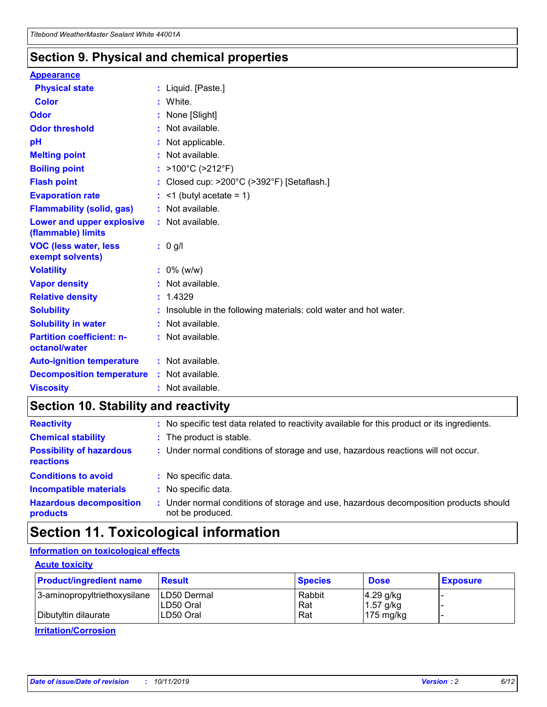### **Section 9. Physical and chemical properties**

#### **Appearance**

| <b>Physical state</b>                             | : Liquid. [Paste.]                                                |
|---------------------------------------------------|-------------------------------------------------------------------|
| <b>Color</b>                                      | White.                                                            |
| Odor                                              | None [Slight]                                                     |
| <b>Odor threshold</b>                             | : Not available.                                                  |
| рH                                                | : Not applicable.                                                 |
| <b>Melting point</b>                              | : Not available.                                                  |
| <b>Boiling point</b>                              | : $>100^{\circ}$ C ( $>212^{\circ}$ F)                            |
| <b>Flash point</b>                                | : Closed cup: >200°C (>392°F) [Setaflash.]                        |
| <b>Evaporation rate</b>                           | $:$ <1 (butyl acetate = 1)                                        |
| <b>Flammability (solid, gas)</b>                  | : Not available.                                                  |
| Lower and upper explosive<br>(flammable) limits   | : Not available.                                                  |
| <b>VOC (less water, less</b><br>exempt solvents)  | $: 0$ g/l                                                         |
| <b>Volatility</b>                                 | $: 0\%$ (w/w)                                                     |
| <b>Vapor density</b>                              | : Not available.                                                  |
| <b>Relative density</b>                           | : 1.4329                                                          |
| <b>Solubility</b>                                 | : Insoluble in the following materials: cold water and hot water. |
| <b>Solubility in water</b>                        | : Not available.                                                  |
| <b>Partition coefficient: n-</b><br>octanol/water | : Not available.                                                  |
| <b>Auto-ignition temperature</b>                  | $:$ Not available.                                                |
| <b>Decomposition temperature</b>                  | : Not available.                                                  |
| <b>Viscosity</b>                                  | $:$ Not available.                                                |

### **Section 10. Stability and reactivity**

| <b>Reactivity</b>                            |    | : No specific test data related to reactivity available for this product or its ingredients.            |
|----------------------------------------------|----|---------------------------------------------------------------------------------------------------------|
| <b>Chemical stability</b>                    |    | : The product is stable.                                                                                |
| <b>Possibility of hazardous</b><br>reactions |    | : Under normal conditions of storage and use, hazardous reactions will not occur.                       |
| <b>Conditions to avoid</b>                   |    | : No specific data.                                                                                     |
| <b>Incompatible materials</b>                | ٠. | No specific data.                                                                                       |
| <b>Hazardous decomposition</b><br>products   | ÷. | Under normal conditions of storage and use, hazardous decomposition products should<br>not be produced. |

### **Section 11. Toxicological information**

#### **Information on toxicological effects**

#### **Acute toxicity**

| <b>Product/ingredient name</b> | <b>Result</b>           | <b>Species</b> | <b>Dose</b>                | <b>Exposure</b> |
|--------------------------------|-------------------------|----------------|----------------------------|-----------------|
| 3-aminopropyltriethoxysilane   | <b>ILD50 Dermal</b>     | Rabbit         | 4.29 g/kg                  |                 |
| Dibutyltin dilaurate           | ILD50 Oral<br>LD50 Oral | Rat<br>Rat     | $1.57$ g/kg<br>175 $mg/kg$ |                 |
|                                |                         |                |                            |                 |

**Irritation/Corrosion**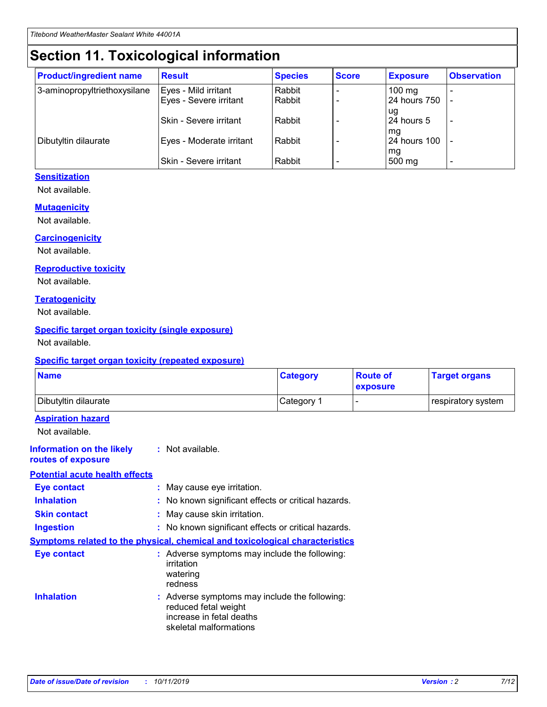## **Section 11. Toxicological information**

| <b>Product/ingredient name</b> | <b>Result</b>            | <b>Species</b> | <b>Score</b> | <b>Exposure</b>           | <b>Observation</b> |
|--------------------------------|--------------------------|----------------|--------------|---------------------------|--------------------|
| 3-aminopropyltriethoxysilane   | Eyes - Mild irritant     | Rabbit         |              | $100$ mg                  |                    |
|                                | Eyes - Severe irritant   | Rabbit         |              | 24 hours 750              |                    |
|                                |                          |                |              | ug                        |                    |
|                                | Skin - Severe irritant   | Rabbit         |              | 24 hours 5                | -                  |
| Dibutyltin dilaurate           | Eyes - Moderate irritant | Rabbit         |              | mq<br><b>24 hours 100</b> |                    |
|                                |                          |                |              | mg                        |                    |
|                                | Skin - Severe irritant   | Rabbit         |              | 500 mg                    |                    |

#### **Sensitization**

Not available.

#### **Mutagenicity**

Not available.

#### **Carcinogenicity**

Not available.

#### **Reproductive toxicity**

Not available.

#### **Teratogenicity**

Not available.

#### **Specific target organ toxicity (single exposure)**

Not available.

#### **Specific target organ toxicity (repeated exposure)**

| <b>Name</b>                                                                  |                                                                                                                             | <b>Category</b> | <b>Route of</b><br>exposure  | <b>Target organs</b> |
|------------------------------------------------------------------------------|-----------------------------------------------------------------------------------------------------------------------------|-----------------|------------------------------|----------------------|
| Dibutyltin dilaurate                                                         |                                                                                                                             | Category 1      | $\qquad \qquad \blacksquare$ | respiratory system   |
| <b>Aspiration hazard</b><br>Not available.                                   |                                                                                                                             |                 |                              |                      |
| <b>Information on the likely</b><br>routes of exposure                       | : Not available.                                                                                                            |                 |                              |                      |
| <b>Potential acute health effects</b>                                        |                                                                                                                             |                 |                              |                      |
| <b>Eye contact</b>                                                           | : May cause eye irritation.                                                                                                 |                 |                              |                      |
| <b>Inhalation</b>                                                            | : No known significant effects or critical hazards.                                                                         |                 |                              |                      |
| <b>Skin contact</b>                                                          | : May cause skin irritation.                                                                                                |                 |                              |                      |
| <b>Ingestion</b>                                                             | : No known significant effects or critical hazards.                                                                         |                 |                              |                      |
| Symptoms related to the physical, chemical and toxicological characteristics |                                                                                                                             |                 |                              |                      |
| <b>Eye contact</b>                                                           | : Adverse symptoms may include the following:<br>irritation<br>watering<br>redness                                          |                 |                              |                      |
| <b>Inhalation</b>                                                            | : Adverse symptoms may include the following:<br>reduced fetal weight<br>increase in fetal deaths<br>skeletal malformations |                 |                              |                      |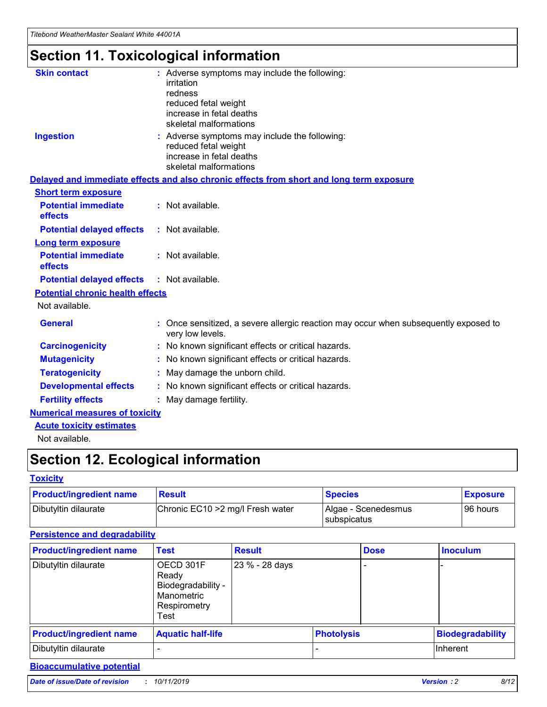## **Section 11. Toxicological information**

| <b>Skin contact</b>                     | : Adverse symptoms may include the following:<br>irritation<br>redness<br>reduced fetal weight<br>increase in fetal deaths<br>skeletal malformations |
|-----------------------------------------|------------------------------------------------------------------------------------------------------------------------------------------------------|
| <b>Ingestion</b>                        | : Adverse symptoms may include the following:<br>reduced fetal weight<br>increase in fetal deaths<br>skeletal malformations                          |
|                                         | Delayed and immediate effects and also chronic effects from short and long term exposure                                                             |
| <b>Short term exposure</b>              |                                                                                                                                                      |
| <b>Potential immediate</b><br>effects   | : Not available.                                                                                                                                     |
| <b>Potential delayed effects</b>        | : Not available.                                                                                                                                     |
| <b>Long term exposure</b>               |                                                                                                                                                      |
| <b>Potential immediate</b><br>effects   | : Not available.                                                                                                                                     |
| <b>Potential delayed effects</b>        | : Not available.                                                                                                                                     |
| <b>Potential chronic health effects</b> |                                                                                                                                                      |
| Not available.                          |                                                                                                                                                      |
| <b>General</b>                          | : Once sensitized, a severe allergic reaction may occur when subsequently exposed to<br>very low levels.                                             |
| <b>Carcinogenicity</b>                  | : No known significant effects or critical hazards.                                                                                                  |
| <b>Mutagenicity</b>                     | No known significant effects or critical hazards.                                                                                                    |
| <b>Teratogenicity</b>                   | May damage the unborn child.                                                                                                                         |
| <b>Developmental effects</b>            | : No known significant effects or critical hazards.                                                                                                  |
| <b>Fertility effects</b>                | : May damage fertility.                                                                                                                              |
| <b>Numerical measures of toxicity</b>   |                                                                                                                                                      |
| <b>Acute toxicity estimates</b>         |                                                                                                                                                      |
| .                                       |                                                                                                                                                      |

Not available.

## **Section 12. Ecological information**

#### **Toxicity**

| <b>Product/ingredient name</b> | <b>Result</b>                     | <b>Species</b>                       | <b>Exposure</b> |
|--------------------------------|-----------------------------------|--------------------------------------|-----------------|
| Dibutyltin dilaurate           | Chronic EC10 > 2 mg/l Fresh water | Algae - Scenedesmus<br>I subspicatus | l 96 hours i    |

#### **Persistence and degradability**

| <b>Product/ingredient name</b> | <b>Test</b>                                                                    | <b>Result</b>  |                   | <b>Dose</b> | <b>Inoculum</b>         |
|--------------------------------|--------------------------------------------------------------------------------|----------------|-------------------|-------------|-------------------------|
| Dibutyltin dilaurate           | OECD 301F<br>Ready<br>Biodegradability -<br>Manometric<br>Respirometry<br>Test | 23 % - 28 days |                   |             |                         |
| <b>Product/ingredient name</b> | <b>Aquatic half-life</b>                                                       |                | <b>Photolysis</b> |             | <b>Biodegradability</b> |
| Dibutyltin dilaurate           |                                                                                |                |                   |             | Inherent                |

### **Bioaccumulative potential**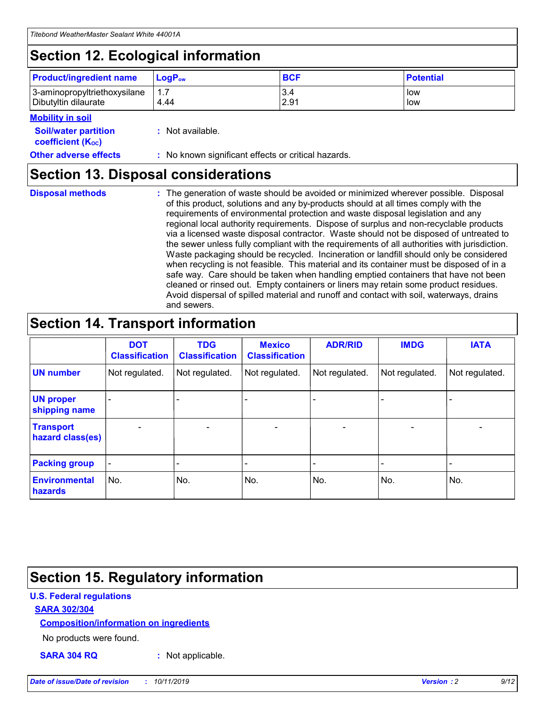## **Section 12. Ecological information**

| <b>Product/ingredient name</b> | $LoaPow$ | <b>BCF</b> | <b>Potential</b> |
|--------------------------------|----------|------------|------------------|
| 3-aminopropyltriethoxysilane   | 1.7      | 3.4        | low              |
| Dibutyltin dilaurate           | 4.44     | 2.91       | low              |

#### **Mobility in soil**

| <i></i>                                                       |                                                     |
|---------------------------------------------------------------|-----------------------------------------------------|
| <b>Soil/water partition</b><br>coefficient (K <sub>oc</sub> ) | : Not available.                                    |
| <b>Other adverse effects</b>                                  | : No known significant effects or critical hazards. |

### **Section 13. Disposal considerations**

**Disposal methods :**

The generation of waste should be avoided or minimized wherever possible. Disposal of this product, solutions and any by-products should at all times comply with the requirements of environmental protection and waste disposal legislation and any regional local authority requirements. Dispose of surplus and non-recyclable products via a licensed waste disposal contractor. Waste should not be disposed of untreated to the sewer unless fully compliant with the requirements of all authorities with jurisdiction. Waste packaging should be recycled. Incineration or landfill should only be considered when recycling is not feasible. This material and its container must be disposed of in a safe way. Care should be taken when handling emptied containers that have not been cleaned or rinsed out. Empty containers or liners may retain some product residues. Avoid dispersal of spilled material and runoff and contact with soil, waterways, drains and sewers.

## **Section 14. Transport information**

|                                      | <b>DOT</b><br><b>Classification</b> | <b>TDG</b><br><b>Classification</b> | <b>Mexico</b><br><b>Classification</b> | <b>ADR/RID</b>               | <b>IMDG</b>    | <b>IATA</b>              |
|--------------------------------------|-------------------------------------|-------------------------------------|----------------------------------------|------------------------------|----------------|--------------------------|
| <b>UN number</b>                     | Not regulated.                      | Not regulated.                      | Not regulated.                         | Not regulated.               | Not regulated. | Not regulated.           |
| <b>UN proper</b><br>shipping name    |                                     |                                     |                                        |                              |                |                          |
| <b>Transport</b><br>hazard class(es) | $\blacksquare$                      | $\overline{\phantom{0}}$            | $\overline{\phantom{a}}$               | $\qquad \qquad \blacksquare$ | $\blacksquare$ | $\overline{\phantom{0}}$ |
| <b>Packing group</b>                 | $\overline{\phantom{a}}$            | -                                   |                                        | -                            |                | -                        |
| <b>Environmental</b><br>hazards      | No.                                 | No.                                 | No.                                    | No.                          | No.            | No.                      |

## **Section 15. Regulatory information**

#### **U.S. Federal regulations**

#### **SARA 302/304**

#### **Composition/information on ingredients**

No products were found.

**SARA 304 RQ :** Not applicable.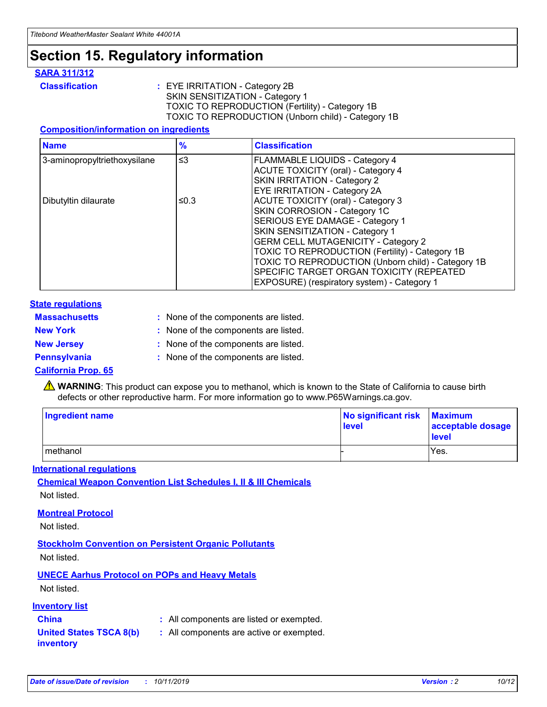## **Section 15. Regulatory information**

#### **SARA 311/312**

**Classification :** EYE IRRITATION - Category 2B SKIN SENSITIZATION - Category 1 TOXIC TO REPRODUCTION (Fertility) - Category 1B TOXIC TO REPRODUCTION (Unborn child) - Category 1B

#### **Composition/information on ingredients**

| <b>Name</b>                              | $\frac{9}{6}$ | <b>Classification</b>                                                                                            |
|------------------------------------------|---------------|------------------------------------------------------------------------------------------------------------------|
| $\leq$ 3<br>3-aminopropyltriethoxysilane |               | <b>FLAMMABLE LIQUIDS - Category 4</b><br><b>ACUTE TOXICITY (oral) - Category 4</b>                               |
|                                          |               | SKIN IRRITATION - Category 2<br>EYE IRRITATION - Category 2A                                                     |
| Dibutyltin dilaurate                     | ≤0.3          | ACUTE TOXICITY (oral) - Category 3<br>SKIN CORROSION - Category 1C                                               |
|                                          |               | SERIOUS EYE DAMAGE - Category 1<br>SKIN SENSITIZATION - Category 1<br><b>GERM CELL MUTAGENICITY - Category 2</b> |
|                                          |               | TOXIC TO REPRODUCTION (Fertility) - Category 1B<br>TOXIC TO REPRODUCTION (Unborn child) - Category 1B            |
|                                          |               | SPECIFIC TARGET ORGAN TOXICITY (REPEATED<br>EXPOSURE) (respiratory system) - Category 1                          |

#### **State regulations**

| <b>Massachusetts</b> | : None of the components are listed. |
|----------------------|--------------------------------------|
| <b>New York</b>      | : None of the components are listed. |
| <b>New Jersey</b>    | : None of the components are listed. |
| <b>Pennsylvania</b>  | : None of the components are listed. |

#### **California Prop. 65**

**A** WARNING: This product can expose you to methanol, which is known to the State of California to cause birth defects or other reproductive harm. For more information go to www.P65Warnings.ca.gov.

| <b>Ingredient name</b> | No significant risk Maximum<br>level | acceptable dosage<br>level |
|------------------------|--------------------------------------|----------------------------|
| methanol               |                                      | Yes.                       |

#### **International regulations**

**Chemical Weapon Convention List Schedules I, II & III Chemicals** Not listed.

#### **Montreal Protocol**

Not listed.

#### **Stockholm Convention on Persistent Organic Pollutants**

Not listed.

#### **UNECE Aarhus Protocol on POPs and Heavy Metals**

Not listed.

#### **Inventory list**

### **China :** All components are listed or exempted.

**United States TSCA 8(b) inventory :** All components are active or exempted.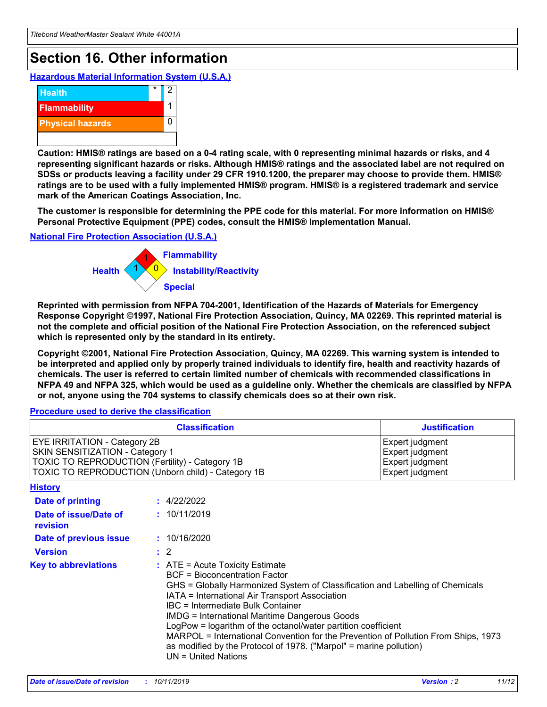## **Section 16. Other information**

**Hazardous Material Information System (U.S.A.)**



**Caution: HMIS® ratings are based on a 0-4 rating scale, with 0 representing minimal hazards or risks, and 4 representing significant hazards or risks. Although HMIS® ratings and the associated label are not required on SDSs or products leaving a facility under 29 CFR 1910.1200, the preparer may choose to provide them. HMIS® ratings are to be used with a fully implemented HMIS® program. HMIS® is a registered trademark and service mark of the American Coatings Association, Inc.**

**The customer is responsible for determining the PPE code for this material. For more information on HMIS® Personal Protective Equipment (PPE) codes, consult the HMIS® Implementation Manual.**

#### **National Fire Protection Association (U.S.A.)**



**Reprinted with permission from NFPA 704-2001, Identification of the Hazards of Materials for Emergency Response Copyright ©1997, National Fire Protection Association, Quincy, MA 02269. This reprinted material is not the complete and official position of the National Fire Protection Association, on the referenced subject which is represented only by the standard in its entirety.**

**Copyright ©2001, National Fire Protection Association, Quincy, MA 02269. This warning system is intended to be interpreted and applied only by properly trained individuals to identify fire, health and reactivity hazards of chemicals. The user is referred to certain limited number of chemicals with recommended classifications in NFPA 49 and NFPA 325, which would be used as a guideline only. Whether the chemicals are classified by NFPA or not, anyone using the 704 systems to classify chemicals does so at their own risk.**

**Procedure used to derive the classification**

| <b>Classification</b>                                                                                                                                                    |                                                                                                                                                  | <b>Justification</b>                                                                                                                                                                                                                                                                                                                                                                                                 |  |
|--------------------------------------------------------------------------------------------------------------------------------------------------------------------------|--------------------------------------------------------------------------------------------------------------------------------------------------|----------------------------------------------------------------------------------------------------------------------------------------------------------------------------------------------------------------------------------------------------------------------------------------------------------------------------------------------------------------------------------------------------------------------|--|
| EYE IRRITATION - Category 2B<br>SKIN SENSITIZATION - Category 1<br>TOXIC TO REPRODUCTION (Fertility) - Category 1B<br>TOXIC TO REPRODUCTION (Unborn child) - Category 1B |                                                                                                                                                  | Expert judgment<br>Expert judgment<br>Expert judgment<br>Expert judgment                                                                                                                                                                                                                                                                                                                                             |  |
| <b>History</b>                                                                                                                                                           |                                                                                                                                                  |                                                                                                                                                                                                                                                                                                                                                                                                                      |  |
| Date of printing                                                                                                                                                         | : 4/22/2022                                                                                                                                      |                                                                                                                                                                                                                                                                                                                                                                                                                      |  |
| Date of issue/Date of<br>revision                                                                                                                                        | : 10/11/2019                                                                                                                                     |                                                                                                                                                                                                                                                                                                                                                                                                                      |  |
| Date of previous issue                                                                                                                                                   | : 10/16/2020                                                                                                                                     |                                                                                                                                                                                                                                                                                                                                                                                                                      |  |
| <b>Version</b>                                                                                                                                                           | $\therefore$ 2                                                                                                                                   |                                                                                                                                                                                                                                                                                                                                                                                                                      |  |
| <b>Key to abbreviations</b>                                                                                                                                              | $\therefore$ ATE = Acute Toxicity Estimate<br><b>BCF</b> = Bioconcentration Factor<br>IBC = Intermediate Bulk Container<br>$UN = United Nations$ | GHS = Globally Harmonized System of Classification and Labelling of Chemicals<br>IATA = International Air Transport Association<br><b>IMDG = International Maritime Dangerous Goods</b><br>LogPow = logarithm of the octanol/water partition coefficient<br>MARPOL = International Convention for the Prevention of Pollution From Ships, 1973<br>as modified by the Protocol of 1978. ("Marpol" = marine pollution) |  |